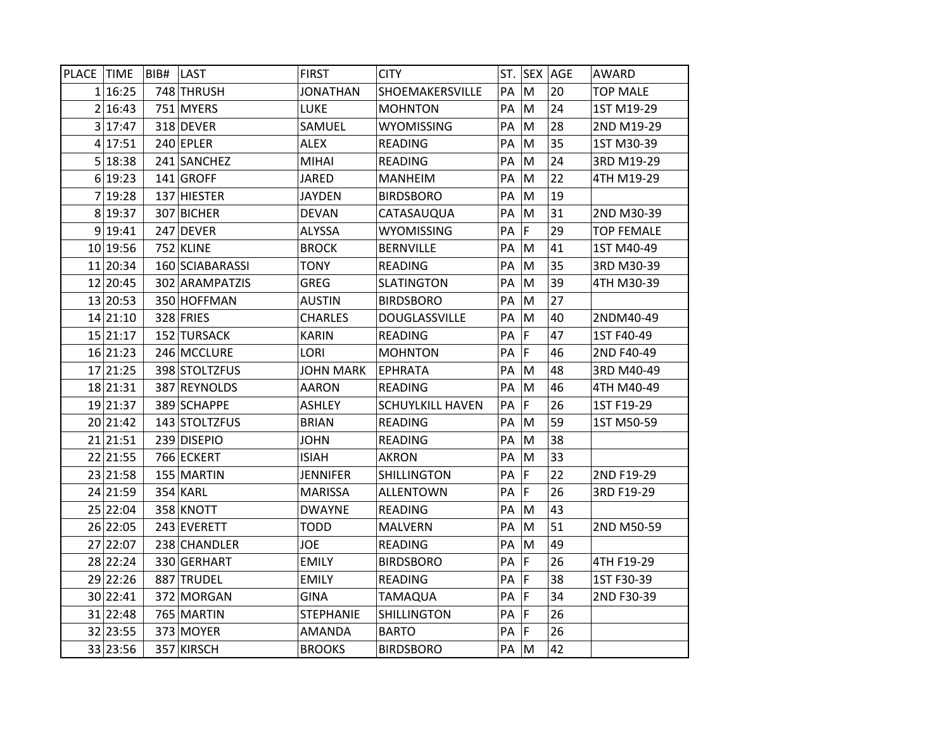| PLACE TIME |          | BIB# | <b>ILAST</b>    | <b>FIRST</b>     | <b>CITY</b>             |    |             | ST. SEX AGE | AWARD             |
|------------|----------|------|-----------------|------------------|-------------------------|----|-------------|-------------|-------------------|
|            | 1 16:25  |      | 748 THRUSH      | <b>JONATHAN</b>  | SHOEMAKERSVILLE         | PA | M           | 20          | <b>TOP MALE</b>   |
|            | 2 16:43  |      | 751 MYERS       | LUKE             | <b>MOHNTON</b>          | PA | M           | 24          | 1ST M19-29        |
|            | 3 17:47  |      | 318 DEVER       | SAMUEL           | <b>WYOMISSING</b>       | PА | M           | 28          | 2ND M19-29        |
|            | 4 17:51  |      | 240 EPLER       | ALEX             | READING                 | PA | M           | 35          | 1ST M30-39        |
|            | 5 18:38  |      | 241 SANCHEZ     | MIHAI            | <b>READING</b>          | PA | M           | 24          | 3RD M19-29        |
|            | 6 19:23  |      | 141 GROFF       | JARED            | <b>MANHEIM</b>          | РA | М           | 22          | 4TH M19-29        |
|            | 7 19:28  |      | 137 HIESTER     | <b>JAYDEN</b>    | <b>BIRDSBORO</b>        | PA | M           | 19          |                   |
|            | 8 19:37  |      | 307 BICHER      | <b>DEVAN</b>     | CATASAUQUA              | PA | M           | 31          | 2ND M30-39        |
|            | 9 19:41  |      | 247 DEVER       | <b>ALYSSA</b>    | <b>WYOMISSING</b>       | PA | $\mathsf F$ | 29          | <b>TOP FEMALE</b> |
|            | 10 19:56 |      | 752 KLINE       | <b>BROCK</b>     | <b>BERNVILLE</b>        | PA | M           | 41          | 1ST M40-49        |
|            | 11 20:34 |      | 160 SCIABARASSI | <b>TONY</b>      | <b>READING</b>          | PA | M           | 35          | 3RD M30-39        |
|            | 12 20:45 |      | 302 ARAMPATZIS  | <b>GREG</b>      | <b>SLATINGTON</b>       | PA | M           | 39          | 4TH M30-39        |
|            | 13 20:53 |      | 350 HOFFMAN     | <b>AUSTIN</b>    | <b>BIRDSBORO</b>        | PA | M           | 27          |                   |
|            | 14 21:10 |      | 328 FRIES       | <b>CHARLES</b>   | <b>DOUGLASSVILLE</b>    | PA | M           | 40          | 2NDM40-49         |
|            | 15 21:17 |      | 152 TURSACK     | <b>KARIN</b>     | <b>READING</b>          | PA | F           | 47          | 1ST F40-49        |
|            | 16 21:23 |      | 246 MCCLURE     | LORI             | <b>MOHNTON</b>          | PA | F           | 46          | 2ND F40-49        |
|            | 17 21:25 |      | 398 STOLTZFUS   | <b>JOHN MARK</b> | <b>EPHRATA</b>          | PA | M           | 48          | 3RD M40-49        |
|            | 18 21:31 |      | 387 REYNOLDS    | <b>AARON</b>     | <b>READING</b>          | PA | M           | 46          | 4TH M40-49        |
|            | 19 21:37 |      | 389 SCHAPPE     | <b>ASHLEY</b>    | <b>SCHUYLKILL HAVEN</b> | PA | F           | 26          | 1ST F19-29        |
|            | 20 21:42 |      | 143 STOLTZFUS   | <b>BRIAN</b>     | <b>READING</b>          | PA | M           | 59          | 1ST M50-59        |
|            | 21 21:51 |      | 239 DISEPIO     | <b>JOHN</b>      | <b>READING</b>          | PA | M           | 38          |                   |
|            | 22 21:55 |      | 766 ECKERT      | <b>ISIAH</b>     | <b>AKRON</b>            | PA | M           | 33          |                   |
|            | 23 21:58 |      | 155 MARTIN      | JENNIFER         | <b>SHILLINGTON</b>      | PA | F           | 22          | 2ND F19-29        |
|            | 24 21:59 |      | 354 KARL        | <b>MARISSA</b>   | <b>ALLENTOWN</b>        | PA | F           | 26          | 3RD F19-29        |
|            | 25 22:04 |      | 358 KNOTT       | <b>DWAYNE</b>    | READING                 | PA | M           | 43          |                   |
|            | 26 22:05 |      | 243 EVERETT     | <b>TODD</b>      | <b>MALVERN</b>          | PA | M           | 51          | 2ND M50-59        |
|            | 27 22:07 |      | 238 CHANDLER    | <b>JOE</b>       | READING                 | PA | M           | 49          |                   |
|            | 28 22:24 |      | 330 GERHART     | <b>EMILY</b>     | <b>BIRDSBORO</b>        | PA | F           | 26          | 4TH F19-29        |
|            | 29 22:26 |      | 887 TRUDEL      | <b>EMILY</b>     | READING                 | PA | F           | 38          | 1ST F30-39        |
|            | 30 22:41 |      | 372 MORGAN      | <b>GINA</b>      | <b>TAMAQUA</b>          | PA | F           | 34          | 2ND F30-39        |
|            | 31 22:48 |      | 765 MARTIN      | <b>STEPHANIE</b> | <b>SHILLINGTON</b>      | PA | $\mathsf F$ | 26          |                   |
|            | 32 23:55 |      | 373 MOYER       | AMANDA           | <b>BARTO</b>            | PA | F           | 26          |                   |
|            | 33 23:56 |      | 357 KIRSCH      | <b>BROOKS</b>    | <b>BIRDSBORO</b>        | PA | M           | 42          |                   |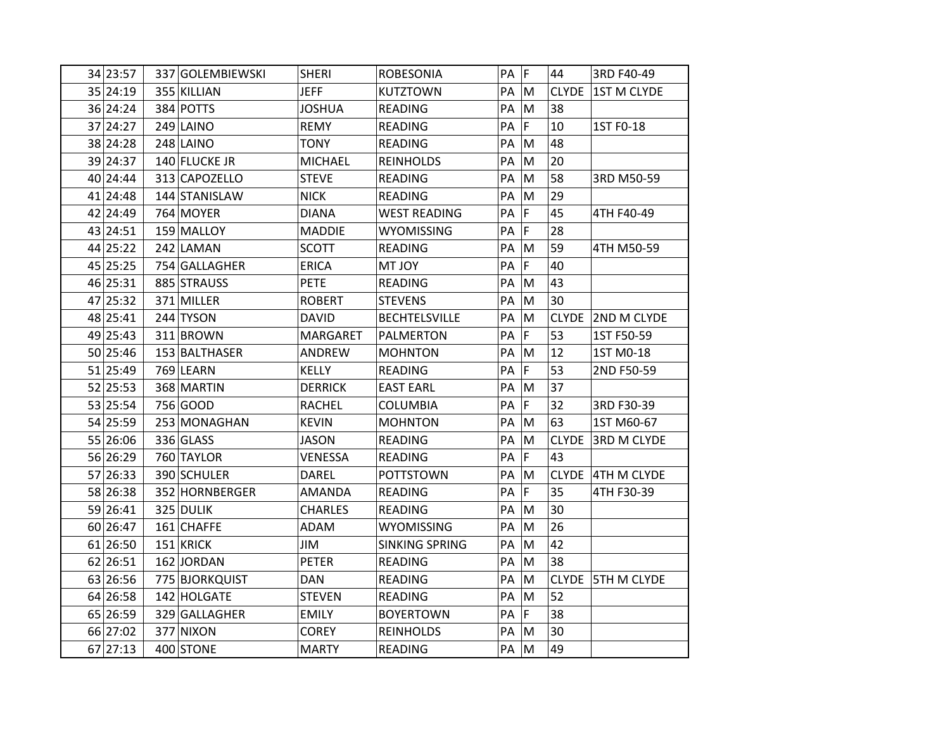| 34 23:57 | 337 GOLEMBIEWSKI | <b>SHERI</b>    | <b>ROBESONIA</b>      | PA | F | 44           | 3RD F40-49         |
|----------|------------------|-----------------|-----------------------|----|---|--------------|--------------------|
| 35 24:19 | 355 KILLIAN      | <b>JEFF</b>     | <b>KUTZTOWN</b>       | PA | M |              | CLYDE 1ST M CLYDE  |
| 36 24:24 | 384 POTTS        | <b>JOSHUA</b>   | <b>READING</b>        | PA | M | 38           |                    |
| 37 24:27 | 249 LAINO        | <b>REMY</b>     | <b>READING</b>        | PA | F | 10           | 1ST F0-18          |
| 38 24:28 | 248 LAINO        | <b>TONY</b>     | <b>READING</b>        | PA | M | 48           |                    |
| 39 24:37 | 140 FLUCKE JR    | <b>MICHAEL</b>  | <b>REINHOLDS</b>      | PA | M | 20           |                    |
| 40 24:44 | 313 CAPOZELLO    | <b>STEVE</b>    | <b>READING</b>        | РA | M | 58           | 3RD M50-59         |
| 41 24:48 | 144 STANISLAW    | <b>NICK</b>     | <b>READING</b>        | PA | M | 29           |                    |
| 42 24:49 | 764 MOYER        | <b>DIANA</b>    | <b>WEST READING</b>   | PA | F | 45           | 4TH F40-49         |
| 43 24:51 | 159 MALLOY       | <b>MADDIE</b>   | <b>WYOMISSING</b>     | PA | F | 28           |                    |
| 44 25:22 | 242 LAMAN        | <b>SCOTT</b>    | <b>READING</b>        | PA | M | 59           | 4TH M50-59         |
| 45 25:25 | 754 GALLAGHER    | <b>ERICA</b>    | <b>MT JOY</b>         | PA | F | 40           |                    |
| 46 25:31 | 885 STRAUSS      | <b>PETE</b>     | <b>READING</b>        | PA | M | 43           |                    |
| 47 25:32 | 371 MILLER       | <b>ROBERT</b>   | <b>STEVENS</b>        | PA | M | 30           |                    |
| 48 25:41 | 244 TYSON        | <b>DAVID</b>    | <b>BECHTELSVILLE</b>  | PA | M | <b>CLYDE</b> | 2ND M CLYDE        |
| 49 25:43 | 311 BROWN        | <b>MARGARET</b> | <b>PALMERTON</b>      | PA | F | 53           | 1ST F50-59         |
| 50 25:46 | 153 BALTHASER    | ANDREW          | <b>MOHNTON</b>        | PA | M | 12           | 1ST M0-18          |
| 51 25:49 | 769 LEARN        | <b>KELLY</b>    | <b>READING</b>        | PA | F | 53           | 2ND F50-59         |
| 52 25:53 | 368 MARTIN       | <b>DERRICK</b>  | <b>EAST EARL</b>      | PA | М | 37           |                    |
| 53 25:54 | 756 GOOD         | <b>RACHEL</b>   | <b>COLUMBIA</b>       | PA | F | 32           | 3RD F30-39         |
| 54 25:59 | 253 MONAGHAN     | <b>KEVIN</b>    | <b>MOHNTON</b>        | PA | M | 63           | 1ST M60-67         |
| 55 26:06 | 336 GLASS        | <b>JASON</b>    | READING               | PA | M | <b>CLYDE</b> | <b>3RD M CLYDE</b> |
| 56 26:29 | 760 TAYLOR       | VENESSA         | READING               | PA | F | 43           |                    |
| 57 26:33 | 390 SCHULER      | <b>DAREL</b>    | <b>POTTSTOWN</b>      | PA | М |              | CLYDE 4TH M CLYDE  |
| 58 26:38 | 352 HORNBERGER   | <b>AMANDA</b>   | <b>READING</b>        | PA | F | 35           | 4TH F30-39         |
| 59 26:41 | 325 DULIK        | <b>CHARLES</b>  | <b>READING</b>        | PA | M | 30           |                    |
| 60 26:47 | 161 CHAFFE       | ADAM            | <b>WYOMISSING</b>     | PA | M | 26           |                    |
| 61 26:50 | 151 KRICK        | JIM             | <b>SINKING SPRING</b> | PA | M | 42           |                    |
| 62 26:51 | 162 JORDAN       | <b>PETER</b>    | <b>READING</b>        | PA | M | 38           |                    |
| 63 26:56 | 775 BJORKQUIST   | DAN.            | <b>READING</b>        | PA | M |              | CLYDE 5TH M CLYDE  |
| 64 26:58 | 142 HOLGATE      | <b>STEVEN</b>   | <b>READING</b>        | PA | M | 52           |                    |
| 65 26:59 | 329 GALLAGHER    | <b>EMILY</b>    | <b>BOYERTOWN</b>      | PA | F | 38           |                    |
| 66 27:02 | 377 NIXON        | <b>COREY</b>    | <b>REINHOLDS</b>      | PA | M | 30           |                    |
| 67 27:13 | 400 STONE        | <b>MARTY</b>    | <b>READING</b>        | PA | M | 49           |                    |
|          |                  |                 |                       |    |   |              |                    |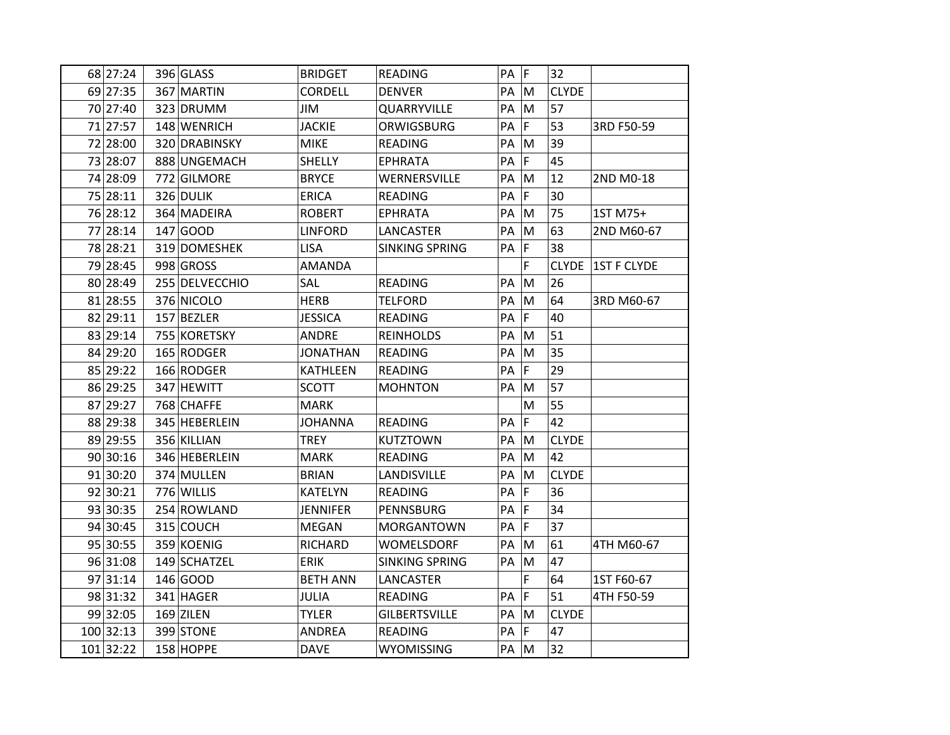| 68 27:24  | 396 GLASS      | <b>BRIDGET</b>  | <b>READING</b>        | PA   | F             | 32           |                    |
|-----------|----------------|-----------------|-----------------------|------|---------------|--------------|--------------------|
| 69 27:35  | 367 MARTIN     | <b>CORDELL</b>  | <b>DENVER</b>         | PA   | M             | <b>CLYDE</b> |                    |
| 70 27:40  | 323 DRUMM      | JIM             | QUARRYVILLE           | PA   | M             | 57           |                    |
| 71 27:57  | 148 WENRICH    | <b>JACKIE</b>   | ORWIGSBURG            | PA   | $\mathsf F$   | 53           | 3RD F50-59         |
| 72 28:00  | 320 DRABINSKY  | <b>MIKE</b>     | <b>READING</b>        | PA   | M             | 39           |                    |
| 73 28:07  | 888 UNGEMACH   | SHELLY          | <b>EPHRATA</b>        | PA   | F             | 45           |                    |
| 74 28:09  | 772 GILMORE    | <b>BRYCE</b>    | WERNERSVILLE          | PA   | M             | 12           | 2ND M0-18          |
| 75 28:11  | 326 DULIK      | <b>ERICA</b>    | <b>READING</b>        | PA   | F             | 30           |                    |
| 76 28:12  | 364 MADEIRA    | <b>ROBERT</b>   | <b>EPHRATA</b>        | PA   | ${\sf M}$     | 75           | 1ST M75+           |
| 77 28:14  | 147 GOOD       | <b>LINFORD</b>  | LANCASTER             | PA   | M             | 63           | 2ND M60-67         |
| 78 28:21  | 319 DOMESHEK   | <b>LISA</b>     | <b>SINKING SPRING</b> | PA   | <sup>IF</sup> | 38           |                    |
| 79 28:45  | 998 GROSS      | <b>AMANDA</b>   |                       |      | F             | <b>CLYDE</b> | <b>1ST F CLYDE</b> |
| 80 28:49  | 255 DELVECCHIO | SAL             | <b>READING</b>        | PA   | M             | 26           |                    |
| 81 28:55  | 376 NICOLO     | <b>HERB</b>     | <b>TELFORD</b>        | PA   | M             | 64           | 3RD M60-67         |
| 82 29:11  | 157 BEZLER     | <b>JESSICA</b>  | <b>READING</b>        | PA   | $\mathsf F$   | 40           |                    |
| 83 29:14  | 755 KORETSKY   | <b>ANDRE</b>    | <b>REINHOLDS</b>      | PA   | M             | 51           |                    |
| 84 29:20  | 165 RODGER     | <b>JONATHAN</b> | <b>READING</b>        | PA   | M             | 35           |                    |
| 85 29:22  | 166 RODGER     | <b>KATHLEEN</b> | <b>READING</b>        | PA   | F             | 29           |                    |
| 86 29:25  | 347 HEWITT     | <b>SCOTT</b>    | <b>MOHNTON</b>        | PA   | M             | 57           |                    |
| 87 29:27  | 768 CHAFFE     | <b>MARK</b>     |                       |      | M             | 55           |                    |
| 88 29:38  | 345 HEBERLEIN  | <b>JOHANNA</b>  | <b>READING</b>        | PA   | $\mathsf F$   | 42           |                    |
| 89 29:55  | 356 KILLIAN    | <b>TREY</b>     | <b>KUTZTOWN</b>       | PA   | M             | <b>CLYDE</b> |                    |
| 90 30:16  | 346 HEBERLEIN  | <b>MARK</b>     | <b>READING</b>        | PA   | M             | 42           |                    |
| 91 30:20  | 374 MULLEN     | <b>BRIAN</b>    | LANDISVILLE           | PA   | ${\sf M}$     | <b>CLYDE</b> |                    |
| 92 30:21  | 776 WILLIS     | <b>KATELYN</b>  | READING               | PA   | F             | 36           |                    |
| 93 30:35  | 254 ROWLAND    | <b>JENNIFER</b> | PENNSBURG             | PA   | F             | 34           |                    |
| 94 30:45  | 315 COUCH      | MEGAN           | MORGANTOWN            | PA   | $\mathsf F$   | 37           |                    |
| 95 30:55  | 359 KOENIG     | RICHARD         | WOMELSDORF            | PA   | M             | 61           | 4TH M60-67         |
| 96 31:08  | 149 SCHATZEL   | <b>ERIK</b>     | <b>SINKING SPRING</b> | PA   | M             | 47           |                    |
| 97 31:14  | 146 GOOD       | <b>BETH ANN</b> | LANCASTER             |      | F             | 64           | 1ST F60-67         |
| 98 31:32  | 341 HAGER      | <b>JULIA</b>    | <b>READING</b>        | PA   | F             | 51           | 4TH F50-59         |
| 99 32:05  | $169$ ZILEN    | <b>TYLER</b>    | <b>GILBERTSVILLE</b>  | PA   | M             | <b>CLYDE</b> |                    |
| 100 32:13 | 399 STONE      | <b>ANDREA</b>   | <b>READING</b>        | PA   | F             | 47           |                    |
| 101 32:22 | 158 HOPPE      | <b>DAVE</b>     | WYOMISSING            | PA M |               | 32           |                    |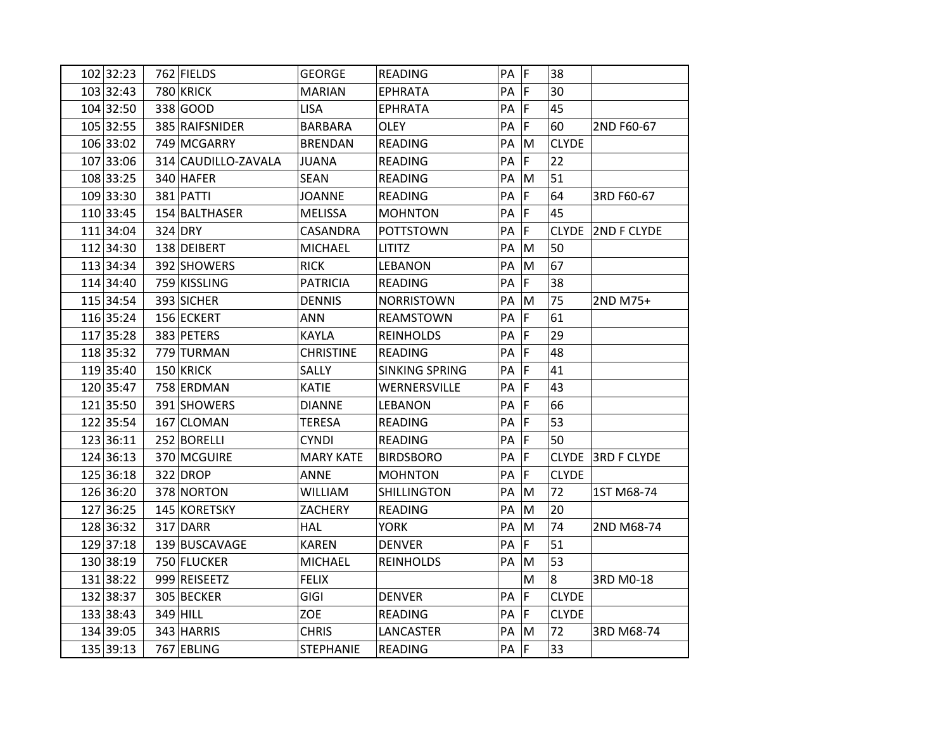| 103 32:43<br>780 KRICK<br>F<br><b>MARIAN</b><br><b>EPHRATA</b><br>PA<br>30<br>104 32:50<br>338 GOOD<br>F<br>45<br><b>LISA</b><br><b>EPHRATA</b><br>PA<br>105 32:55<br>385 RAIFSNIDER<br>F<br>60<br><b>BARBARA</b><br><b>OLEY</b><br>PA<br>2ND F60-67<br>106 33:02<br><b>CLYDE</b><br>749 MCGARRY<br>PA<br>M<br><b>BRENDAN</b><br><b>READING</b><br>107 33:06<br>F<br>22<br>314 CAUDILLO-ZAVALA<br>READING<br>PA<br><b>JUANA</b><br>108 33:25<br>PA<br>51<br>340 HAFER<br><b>SEAN</b><br><b>READING</b><br>M<br>109 33:30<br>$\mathsf F$<br>64<br>381 PATTI<br><b>JOANNE</b><br><b>READING</b><br>PA<br>3RD F60-67<br> F <br>110 33:45<br>154 BALTHASER<br>45<br><b>MELISSA</b><br><b>MOHNTON</b><br>PA<br>111 34:04<br>$324$ DRY<br> F <br>CASANDRA<br>PA<br>CLYDE 2ND F CLYDE<br><b>POTTSTOWN</b><br>112 34:30<br>50<br>138 DEIBERT<br><b>MICHAEL</b><br>PA<br>M<br><b>LITITZ</b><br>113 34:34<br>392 SHOWERS<br><b>RICK</b><br>M<br>67<br>LEBANON<br>PA<br>114 34:40<br>759 KISSLING<br><b>PATRICIA</b><br>F<br>38<br><b>READING</b><br>PA<br>115 34:54<br>393 SICHER<br><b>DENNIS</b><br>75<br><b>NORRISTOWN</b><br>PA<br>M<br>2ND M75+<br>116 35:24<br> F <br>61<br>156 ECKERT<br>ANN<br>REAMSTOWN<br>PA<br> F <br>117 35:28<br>29<br>383 PETERS<br>KAYLA<br>PA<br><b>REINHOLDS</b><br>F<br>48<br>118 35:32<br><b>CHRISTINE</b><br>779 TURMAN<br>READING<br>PA<br>119 35:40<br>150 KRICK<br>F<br>41<br>SALLY<br><b>SINKING SPRING</b><br>PA<br>120 35:47<br>43<br>758 ERDMAN<br><b>KATIE</b><br>WERNERSVILLE<br>PA<br>F<br>PA F<br>121 35:50<br>66<br>391 SHOWERS<br><b>DIANNE</b><br><b>LEBANON</b><br>122 35:54<br>PA F<br>53<br><b>TERESA</b><br>167 CLOMAN<br><b>READING</b><br>F<br>50<br>123 36:11<br>252 BORELLI<br>PA<br><b>CYNDI</b><br><b>READING</b><br>124 36:13<br>F<br>370 MCGUIRE<br><b>MARY KATE</b><br>CLYDE 3RD F CLYDE<br><b>BIRDSBORO</b><br>PA<br>125 36:18<br>$\mathsf F$<br>322 DROP<br><b>ANNE</b><br><b>MOHNTON</b><br>PA<br><b>CLYDE</b><br>126 36:20<br>378 NORTON<br>WILLIAM<br><b>SHILLINGTON</b><br>PA<br>72<br>M<br>1ST M68-74<br>127 36:25<br>ZACHERY<br>20<br>145 KORETSKY<br>READING<br>PA<br>M<br>128 36:32<br>74<br>317 DARR<br><b>YORK</b><br>PA<br>M<br>2ND M68-74<br><b>HAL</b><br>F<br>129 37:18<br>51<br>139 BUSCAVAGE<br><b>KAREN</b><br><b>DENVER</b><br>PA<br>130 38:19<br>53<br>750 FLUCKER<br><b>MICHAEL</b><br><b>REINHOLDS</b><br>PA<br>M<br>131 38:22<br>999 REISEETZ<br><b>FELIX</b><br>8<br>3RD M0-18<br>M<br>132 38:37<br>PA F<br>305 BECKER<br>GIGI<br><b>CLYDE</b><br><b>DENVER</b><br>133 38:43<br>PA F<br>$349$ HILL<br>ZOE<br><b>CLYDE</b><br><b>READING</b><br>134 39:05<br>343 HARRIS<br>72<br><b>CHRIS</b><br>LANCASTER<br>PA<br>M<br>3RD M68-74 | 102 32:23 | 762 FIELDS | <b>GEORGE</b> | <b>READING</b> | $PA$ $F$ | 38 |  |
|------------------------------------------------------------------------------------------------------------------------------------------------------------------------------------------------------------------------------------------------------------------------------------------------------------------------------------------------------------------------------------------------------------------------------------------------------------------------------------------------------------------------------------------------------------------------------------------------------------------------------------------------------------------------------------------------------------------------------------------------------------------------------------------------------------------------------------------------------------------------------------------------------------------------------------------------------------------------------------------------------------------------------------------------------------------------------------------------------------------------------------------------------------------------------------------------------------------------------------------------------------------------------------------------------------------------------------------------------------------------------------------------------------------------------------------------------------------------------------------------------------------------------------------------------------------------------------------------------------------------------------------------------------------------------------------------------------------------------------------------------------------------------------------------------------------------------------------------------------------------------------------------------------------------------------------------------------------------------------------------------------------------------------------------------------------------------------------------------------------------------------------------------------------------------------------------------------------------------------------------------------------------------------------------------------------------------------------------------------------------------------------------------------------------------------------------------------------------------------------------------------------------------------------------------------------------------------------------------------------------------------------------------------------------------------------------------------------|-----------|------------|---------------|----------------|----------|----|--|
|                                                                                                                                                                                                                                                                                                                                                                                                                                                                                                                                                                                                                                                                                                                                                                                                                                                                                                                                                                                                                                                                                                                                                                                                                                                                                                                                                                                                                                                                                                                                                                                                                                                                                                                                                                                                                                                                                                                                                                                                                                                                                                                                                                                                                                                                                                                                                                                                                                                                                                                                                                                                                                                                                                                  |           |            |               |                |          |    |  |
|                                                                                                                                                                                                                                                                                                                                                                                                                                                                                                                                                                                                                                                                                                                                                                                                                                                                                                                                                                                                                                                                                                                                                                                                                                                                                                                                                                                                                                                                                                                                                                                                                                                                                                                                                                                                                                                                                                                                                                                                                                                                                                                                                                                                                                                                                                                                                                                                                                                                                                                                                                                                                                                                                                                  |           |            |               |                |          |    |  |
|                                                                                                                                                                                                                                                                                                                                                                                                                                                                                                                                                                                                                                                                                                                                                                                                                                                                                                                                                                                                                                                                                                                                                                                                                                                                                                                                                                                                                                                                                                                                                                                                                                                                                                                                                                                                                                                                                                                                                                                                                                                                                                                                                                                                                                                                                                                                                                                                                                                                                                                                                                                                                                                                                                                  |           |            |               |                |          |    |  |
|                                                                                                                                                                                                                                                                                                                                                                                                                                                                                                                                                                                                                                                                                                                                                                                                                                                                                                                                                                                                                                                                                                                                                                                                                                                                                                                                                                                                                                                                                                                                                                                                                                                                                                                                                                                                                                                                                                                                                                                                                                                                                                                                                                                                                                                                                                                                                                                                                                                                                                                                                                                                                                                                                                                  |           |            |               |                |          |    |  |
|                                                                                                                                                                                                                                                                                                                                                                                                                                                                                                                                                                                                                                                                                                                                                                                                                                                                                                                                                                                                                                                                                                                                                                                                                                                                                                                                                                                                                                                                                                                                                                                                                                                                                                                                                                                                                                                                                                                                                                                                                                                                                                                                                                                                                                                                                                                                                                                                                                                                                                                                                                                                                                                                                                                  |           |            |               |                |          |    |  |
|                                                                                                                                                                                                                                                                                                                                                                                                                                                                                                                                                                                                                                                                                                                                                                                                                                                                                                                                                                                                                                                                                                                                                                                                                                                                                                                                                                                                                                                                                                                                                                                                                                                                                                                                                                                                                                                                                                                                                                                                                                                                                                                                                                                                                                                                                                                                                                                                                                                                                                                                                                                                                                                                                                                  |           |            |               |                |          |    |  |
|                                                                                                                                                                                                                                                                                                                                                                                                                                                                                                                                                                                                                                                                                                                                                                                                                                                                                                                                                                                                                                                                                                                                                                                                                                                                                                                                                                                                                                                                                                                                                                                                                                                                                                                                                                                                                                                                                                                                                                                                                                                                                                                                                                                                                                                                                                                                                                                                                                                                                                                                                                                                                                                                                                                  |           |            |               |                |          |    |  |
|                                                                                                                                                                                                                                                                                                                                                                                                                                                                                                                                                                                                                                                                                                                                                                                                                                                                                                                                                                                                                                                                                                                                                                                                                                                                                                                                                                                                                                                                                                                                                                                                                                                                                                                                                                                                                                                                                                                                                                                                                                                                                                                                                                                                                                                                                                                                                                                                                                                                                                                                                                                                                                                                                                                  |           |            |               |                |          |    |  |
|                                                                                                                                                                                                                                                                                                                                                                                                                                                                                                                                                                                                                                                                                                                                                                                                                                                                                                                                                                                                                                                                                                                                                                                                                                                                                                                                                                                                                                                                                                                                                                                                                                                                                                                                                                                                                                                                                                                                                                                                                                                                                                                                                                                                                                                                                                                                                                                                                                                                                                                                                                                                                                                                                                                  |           |            |               |                |          |    |  |
|                                                                                                                                                                                                                                                                                                                                                                                                                                                                                                                                                                                                                                                                                                                                                                                                                                                                                                                                                                                                                                                                                                                                                                                                                                                                                                                                                                                                                                                                                                                                                                                                                                                                                                                                                                                                                                                                                                                                                                                                                                                                                                                                                                                                                                                                                                                                                                                                                                                                                                                                                                                                                                                                                                                  |           |            |               |                |          |    |  |
|                                                                                                                                                                                                                                                                                                                                                                                                                                                                                                                                                                                                                                                                                                                                                                                                                                                                                                                                                                                                                                                                                                                                                                                                                                                                                                                                                                                                                                                                                                                                                                                                                                                                                                                                                                                                                                                                                                                                                                                                                                                                                                                                                                                                                                                                                                                                                                                                                                                                                                                                                                                                                                                                                                                  |           |            |               |                |          |    |  |
|                                                                                                                                                                                                                                                                                                                                                                                                                                                                                                                                                                                                                                                                                                                                                                                                                                                                                                                                                                                                                                                                                                                                                                                                                                                                                                                                                                                                                                                                                                                                                                                                                                                                                                                                                                                                                                                                                                                                                                                                                                                                                                                                                                                                                                                                                                                                                                                                                                                                                                                                                                                                                                                                                                                  |           |            |               |                |          |    |  |
|                                                                                                                                                                                                                                                                                                                                                                                                                                                                                                                                                                                                                                                                                                                                                                                                                                                                                                                                                                                                                                                                                                                                                                                                                                                                                                                                                                                                                                                                                                                                                                                                                                                                                                                                                                                                                                                                                                                                                                                                                                                                                                                                                                                                                                                                                                                                                                                                                                                                                                                                                                                                                                                                                                                  |           |            |               |                |          |    |  |
|                                                                                                                                                                                                                                                                                                                                                                                                                                                                                                                                                                                                                                                                                                                                                                                                                                                                                                                                                                                                                                                                                                                                                                                                                                                                                                                                                                                                                                                                                                                                                                                                                                                                                                                                                                                                                                                                                                                                                                                                                                                                                                                                                                                                                                                                                                                                                                                                                                                                                                                                                                                                                                                                                                                  |           |            |               |                |          |    |  |
|                                                                                                                                                                                                                                                                                                                                                                                                                                                                                                                                                                                                                                                                                                                                                                                                                                                                                                                                                                                                                                                                                                                                                                                                                                                                                                                                                                                                                                                                                                                                                                                                                                                                                                                                                                                                                                                                                                                                                                                                                                                                                                                                                                                                                                                                                                                                                                                                                                                                                                                                                                                                                                                                                                                  |           |            |               |                |          |    |  |
|                                                                                                                                                                                                                                                                                                                                                                                                                                                                                                                                                                                                                                                                                                                                                                                                                                                                                                                                                                                                                                                                                                                                                                                                                                                                                                                                                                                                                                                                                                                                                                                                                                                                                                                                                                                                                                                                                                                                                                                                                                                                                                                                                                                                                                                                                                                                                                                                                                                                                                                                                                                                                                                                                                                  |           |            |               |                |          |    |  |
|                                                                                                                                                                                                                                                                                                                                                                                                                                                                                                                                                                                                                                                                                                                                                                                                                                                                                                                                                                                                                                                                                                                                                                                                                                                                                                                                                                                                                                                                                                                                                                                                                                                                                                                                                                                                                                                                                                                                                                                                                                                                                                                                                                                                                                                                                                                                                                                                                                                                                                                                                                                                                                                                                                                  |           |            |               |                |          |    |  |
|                                                                                                                                                                                                                                                                                                                                                                                                                                                                                                                                                                                                                                                                                                                                                                                                                                                                                                                                                                                                                                                                                                                                                                                                                                                                                                                                                                                                                                                                                                                                                                                                                                                                                                                                                                                                                                                                                                                                                                                                                                                                                                                                                                                                                                                                                                                                                                                                                                                                                                                                                                                                                                                                                                                  |           |            |               |                |          |    |  |
|                                                                                                                                                                                                                                                                                                                                                                                                                                                                                                                                                                                                                                                                                                                                                                                                                                                                                                                                                                                                                                                                                                                                                                                                                                                                                                                                                                                                                                                                                                                                                                                                                                                                                                                                                                                                                                                                                                                                                                                                                                                                                                                                                                                                                                                                                                                                                                                                                                                                                                                                                                                                                                                                                                                  |           |            |               |                |          |    |  |
|                                                                                                                                                                                                                                                                                                                                                                                                                                                                                                                                                                                                                                                                                                                                                                                                                                                                                                                                                                                                                                                                                                                                                                                                                                                                                                                                                                                                                                                                                                                                                                                                                                                                                                                                                                                                                                                                                                                                                                                                                                                                                                                                                                                                                                                                                                                                                                                                                                                                                                                                                                                                                                                                                                                  |           |            |               |                |          |    |  |
|                                                                                                                                                                                                                                                                                                                                                                                                                                                                                                                                                                                                                                                                                                                                                                                                                                                                                                                                                                                                                                                                                                                                                                                                                                                                                                                                                                                                                                                                                                                                                                                                                                                                                                                                                                                                                                                                                                                                                                                                                                                                                                                                                                                                                                                                                                                                                                                                                                                                                                                                                                                                                                                                                                                  |           |            |               |                |          |    |  |
|                                                                                                                                                                                                                                                                                                                                                                                                                                                                                                                                                                                                                                                                                                                                                                                                                                                                                                                                                                                                                                                                                                                                                                                                                                                                                                                                                                                                                                                                                                                                                                                                                                                                                                                                                                                                                                                                                                                                                                                                                                                                                                                                                                                                                                                                                                                                                                                                                                                                                                                                                                                                                                                                                                                  |           |            |               |                |          |    |  |
|                                                                                                                                                                                                                                                                                                                                                                                                                                                                                                                                                                                                                                                                                                                                                                                                                                                                                                                                                                                                                                                                                                                                                                                                                                                                                                                                                                                                                                                                                                                                                                                                                                                                                                                                                                                                                                                                                                                                                                                                                                                                                                                                                                                                                                                                                                                                                                                                                                                                                                                                                                                                                                                                                                                  |           |            |               |                |          |    |  |
|                                                                                                                                                                                                                                                                                                                                                                                                                                                                                                                                                                                                                                                                                                                                                                                                                                                                                                                                                                                                                                                                                                                                                                                                                                                                                                                                                                                                                                                                                                                                                                                                                                                                                                                                                                                                                                                                                                                                                                                                                                                                                                                                                                                                                                                                                                                                                                                                                                                                                                                                                                                                                                                                                                                  |           |            |               |                |          |    |  |
|                                                                                                                                                                                                                                                                                                                                                                                                                                                                                                                                                                                                                                                                                                                                                                                                                                                                                                                                                                                                                                                                                                                                                                                                                                                                                                                                                                                                                                                                                                                                                                                                                                                                                                                                                                                                                                                                                                                                                                                                                                                                                                                                                                                                                                                                                                                                                                                                                                                                                                                                                                                                                                                                                                                  |           |            |               |                |          |    |  |
|                                                                                                                                                                                                                                                                                                                                                                                                                                                                                                                                                                                                                                                                                                                                                                                                                                                                                                                                                                                                                                                                                                                                                                                                                                                                                                                                                                                                                                                                                                                                                                                                                                                                                                                                                                                                                                                                                                                                                                                                                                                                                                                                                                                                                                                                                                                                                                                                                                                                                                                                                                                                                                                                                                                  |           |            |               |                |          |    |  |
|                                                                                                                                                                                                                                                                                                                                                                                                                                                                                                                                                                                                                                                                                                                                                                                                                                                                                                                                                                                                                                                                                                                                                                                                                                                                                                                                                                                                                                                                                                                                                                                                                                                                                                                                                                                                                                                                                                                                                                                                                                                                                                                                                                                                                                                                                                                                                                                                                                                                                                                                                                                                                                                                                                                  |           |            |               |                |          |    |  |
|                                                                                                                                                                                                                                                                                                                                                                                                                                                                                                                                                                                                                                                                                                                                                                                                                                                                                                                                                                                                                                                                                                                                                                                                                                                                                                                                                                                                                                                                                                                                                                                                                                                                                                                                                                                                                                                                                                                                                                                                                                                                                                                                                                                                                                                                                                                                                                                                                                                                                                                                                                                                                                                                                                                  |           |            |               |                |          |    |  |
|                                                                                                                                                                                                                                                                                                                                                                                                                                                                                                                                                                                                                                                                                                                                                                                                                                                                                                                                                                                                                                                                                                                                                                                                                                                                                                                                                                                                                                                                                                                                                                                                                                                                                                                                                                                                                                                                                                                                                                                                                                                                                                                                                                                                                                                                                                                                                                                                                                                                                                                                                                                                                                                                                                                  |           |            |               |                |          |    |  |
|                                                                                                                                                                                                                                                                                                                                                                                                                                                                                                                                                                                                                                                                                                                                                                                                                                                                                                                                                                                                                                                                                                                                                                                                                                                                                                                                                                                                                                                                                                                                                                                                                                                                                                                                                                                                                                                                                                                                                                                                                                                                                                                                                                                                                                                                                                                                                                                                                                                                                                                                                                                                                                                                                                                  |           |            |               |                |          |    |  |
|                                                                                                                                                                                                                                                                                                                                                                                                                                                                                                                                                                                                                                                                                                                                                                                                                                                                                                                                                                                                                                                                                                                                                                                                                                                                                                                                                                                                                                                                                                                                                                                                                                                                                                                                                                                                                                                                                                                                                                                                                                                                                                                                                                                                                                                                                                                                                                                                                                                                                                                                                                                                                                                                                                                  |           |            |               |                |          |    |  |
|                                                                                                                                                                                                                                                                                                                                                                                                                                                                                                                                                                                                                                                                                                                                                                                                                                                                                                                                                                                                                                                                                                                                                                                                                                                                                                                                                                                                                                                                                                                                                                                                                                                                                                                                                                                                                                                                                                                                                                                                                                                                                                                                                                                                                                                                                                                                                                                                                                                                                                                                                                                                                                                                                                                  |           |            |               |                |          |    |  |
| 135 39:13<br>$PA$ $F$<br>767 EBLING<br>33<br><b>STEPHANIE</b><br><b>READING</b>                                                                                                                                                                                                                                                                                                                                                                                                                                                                                                                                                                                                                                                                                                                                                                                                                                                                                                                                                                                                                                                                                                                                                                                                                                                                                                                                                                                                                                                                                                                                                                                                                                                                                                                                                                                                                                                                                                                                                                                                                                                                                                                                                                                                                                                                                                                                                                                                                                                                                                                                                                                                                                  |           |            |               |                |          |    |  |